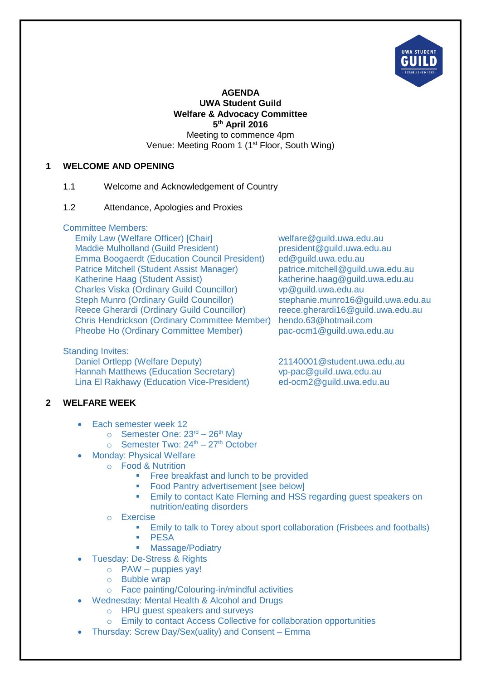

### **AGENDA UWA Student Guild Welfare & Advocacy Committee 5 th April 2016** Meeting to commence 4pm Venue: Meeting Room 1 (1<sup>st</sup> Floor, South Wing)

### **1 WELCOME AND OPENING**

### 1.1 Welcome and Acknowledgement of Country

#### 1.2 Attendance, Apologies and Proxies

#### Committee Members:

Emily Law (Welfare Officer) [Chair] welfare@guild.uwa.edu.au<br>Maddie Mulholland (Guild President) entity resident@guild.uwa.edu.au Maddie Mulholland (Guild President) Emma Boogaerdt (Education Council President) ed@guild.uwa.edu.au Patrice Mitchell (Student Assist Manager) patrice.mitchell@guild.uwa.edu.au Katherine Haag (Student Assist)<br>
Charles Viska (Ordinary Guild Councillor) vp@guild.uwa.edu.au<br>
vp@guild.uwa.edu.au Charles Viska (Ordinary Guild Councillor) vp@guild.uwa.edu.au<br>Steph Munro (Ordinary Guild Councillor) stephanie.munro16@guild.uwa.edu.au Steph Munro (Ordinary Guild Councillor) Reece Gherardi (Ordinary Guild Councillor) reece.gherardi16@guild.uwa.edu.au Chris Hendrickson (Ordinary Committee Member) hendo.63@hotmail.com Pheobe Ho (Ordinary Committee Member) pac-ocm1@guild.uwa.edu.au

#### Standing Invites:

Daniel Ortlepp (Welfare Deputy) 21140001@student.uwa.edu.au Hannah Matthews (Education Secretary) vp-pac@guild.uwa.edu.au Lina El Rakhawy (Education Vice-President) ed-ocm2@guild.uwa.edu.au

#### **2 WELFARE WEEK**

- Each semester week 12
	- $\circ$  Semester One: 23<sup>rd</sup> 26<sup>th</sup> May
	- $\circ$  Semester Two: 24<sup>th</sup> 27<sup>th</sup> October
- Monday: Physical Welfare
	- o Food & Nutrition
		- **Free breakfast and lunch to be provided**
		- **Food Pantry advertisement [see below]**
		- **Emily to contact Kate Fleming and HSS regarding guest speakers on** nutrition/eating disorders
	- o Exercise
		- **Emily to talk to Torey about sport collaboration (Frisbees and footballs)**
		- **PESA**
		- **Massage/Podiatry**
- Tuesday: De-Stress & Rights
	- $\circ$  PAW puppies yay!
	- o Bubble wrap
	- o Face painting/Colouring-in/mindful activities
- Wednesday: Mental Health & Alcohol and Drugs
	- o HPU guest speakers and surveys
	- o Emily to contact Access Collective for collaboration opportunities
- Thursday: Screw Day/Sex(uality) and Consent Emma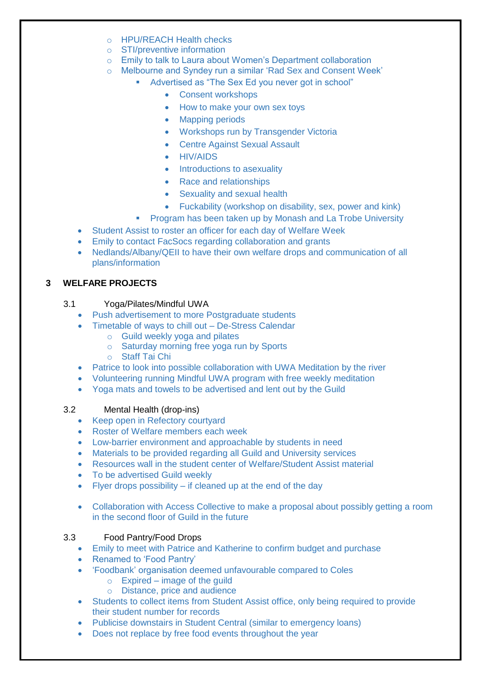- o HPU/REACH Health checks
- o STI/preventive information
- o Emily to talk to Laura about Women's Department collaboration
- o Melbourne and Syndey run a similar 'Rad Sex and Consent Week'
	- Advertised as "The Sex Ed you never got in school"
		- Consent workshops
		- How to make your own sex toys
		- Mapping periods
		- Workshops run by Transgender Victoria
		- Centre Against Sexual Assault
		- HIV/AIDS
		- Introductions to asexuality
		- Race and relationships
		- Sexuality and sexual health
		- Fuckability (workshop on disability, sex, power and kink)
	- Program has been taken up by Monash and La Trobe University
- Student Assist to roster an officer for each day of Welfare Week
- Emily to contact FacSocs regarding collaboration and grants
- Nedlands/Albany/QEII to have their own welfare drops and communication of all plans/information

### **3 WELFARE PROJECTS**

### 3.1 Yoga/Pilates/Mindful UWA

- Push advertisement to more Postgraduate students
- Timetable of ways to chill out De-Stress Calendar
	- o Guild weekly yoga and pilates
	- o Saturday morning free yoga run by Sports
	- o Staff Tai Chi
- Patrice to look into possible collaboration with UWA Meditation by the river
- Volunteering running Mindful UWA program with free weekly meditation
- Yoga mats and towels to be advertised and lent out by the Guild

## 3.2 Mental Health (drop-ins)

- Keep open in Refectory courtyard
- Roster of Welfare members each week
- Low-barrier environment and approachable by students in need
- Materials to be provided regarding all Guild and University services
- Resources wall in the student center of Welfare/Student Assist material
- To be advertised Guild weekly
- Flyer drops possibility if cleaned up at the end of the day
- Collaboration with Access Collective to make a proposal about possibly getting a room in the second floor of Guild in the future

#### 3.3 Food Pantry/Food Drops

- Emily to meet with Patrice and Katherine to confirm budget and purchase
- Renamed to 'Food Pantry'
- 'Foodbank' organisation deemed unfavourable compared to Coles
	- $\circ$  Expired image of the guild
	- o Distance, price and audience
- Students to collect items from Student Assist office, only being required to provide their student number for records
- Publicise downstairs in Student Central (similar to emergency loans)
- Does not replace by free food events throughout the year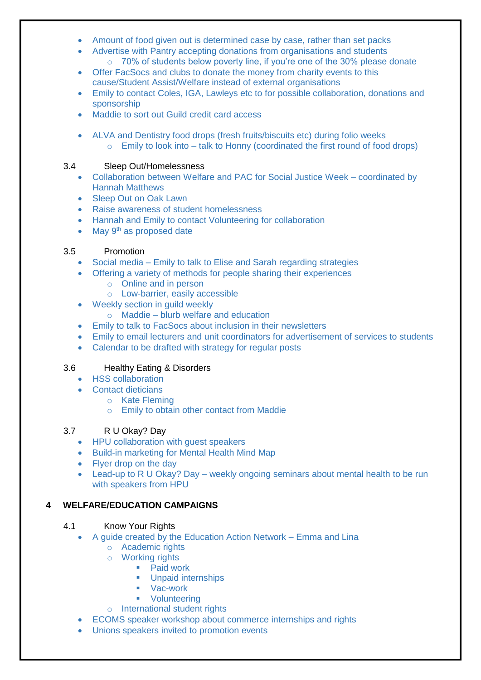- Amount of food given out is determined case by case, rather than set packs
	- Advertise with Pantry accepting donations from organisations and students
		- o 70% of students below poverty line, if you're one of the 30% please donate
- Offer FacSocs and clubs to donate the money from charity events to this cause/Student Assist/Welfare instead of external organisations
- Emily to contact Coles, IGA, Lawleys etc to for possible collaboration, donations and sponsorship
- Maddie to sort out Guild credit card access
- ALVA and Dentistry food drops (fresh fruits/biscuits etc) during folio weeks  $\circ$  Emily to look into – talk to Honny (coordinated the first round of food drops)

## 3.4 Sleep Out/Homelessness

- Collaboration between Welfare and PAC for Social Justice Week coordinated by Hannah Matthews
- Sleep Out on Oak Lawn
- Raise awareness of student homelessness
- Hannah and Emily to contact Volunteering for collaboration
- $\bullet$  May 9<sup>th</sup> as proposed date

# 3.5 Promotion

- Social media Emily to talk to Elise and Sarah regarding strategies
- Offering a variety of methods for people sharing their experiences
	- o Online and in person
	- o Low-barrier, easily accessible
- Weekly section in guild weekly
	- $\circ$  Maddie blurb welfare and education
- Emily to talk to FacSocs about inclusion in their newsletters
- Emily to email lecturers and unit coordinators for advertisement of services to students
- Calendar to be drafted with strategy for regular posts

# 3.6 Healthy Eating & Disorders

- HSS collaboration
- Contact dieticians
	- o Kate Fleming
	- o Emily to obtain other contact from Maddie

## 3.7 R U Okay? Day

- HPU collaboration with guest speakers
- Build-in marketing for Mental Health Mind Map
- Flyer drop on the day
- Lead-up to R U Okay? Day weekly ongoing seminars about mental health to be run with speakers from HPU

# **4 WELFARE/EDUCATION CAMPAIGNS**

## 4.1 Know Your Rights

- A guide created by the Education Action Network Emma and Lina
	- o Academic rights
	- o Working rights
		- Paid work
		- **Unpaid internships**
		- Vac-work
		- **•** Volunteering
	- o International student rights
- ECOMS speaker workshop about commerce internships and rights
- Unions speakers invited to promotion events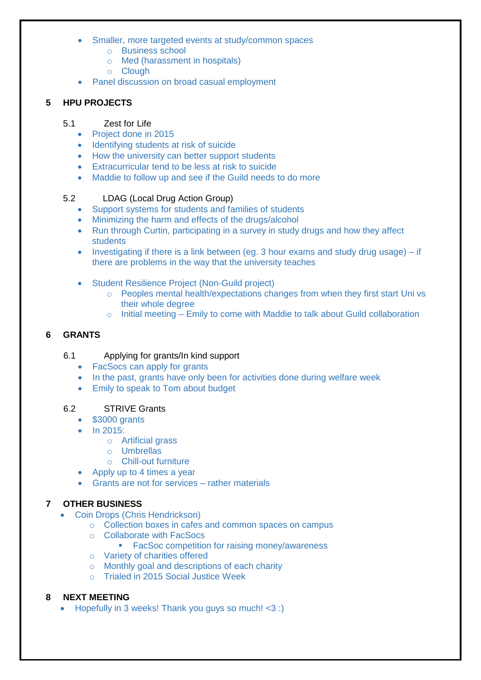- Smaller, more targeted events at study/common spaces
	- o Business school
	- o Med (harassment in hospitals)
	- o Clough
- Panel discussion on broad casual employment

## **5 HPU PROJECTS**

#### 5.1 Zest for Life

- Project done in 2015
- Identifying students at risk of suicide
- How the university can better support students
- Extracurricular tend to be less at risk to suicide
- Maddie to follow up and see if the Guild needs to do more

## 5.2 LDAG (Local Drug Action Group)

- Support systems for students and families of students
- Minimizing the harm and effects of the drugs/alcohol
- Run through Curtin, participating in a survey in study drugs and how they affect students
- Investigating if there is a link between (eg. 3 hour exams and study drug usage) if there are problems in the way that the university teaches
- Student Resilience Project (Non-Guild project)
	- o Peoples mental health/expectations changes from when they first start Uni vs their whole degree
	- o Initial meeting Emily to come with Maddie to talk about Guild collaboration

## **6 GRANTS**

#### 6.1 Applying for grants/In kind support

- FacSocs can apply for grants
- In the past, grants have only been for activities done during welfare week
- Emily to speak to Tom about budget

## 6.2 STRIVE Grants

- \$3000 grants
- $\bullet$  In 2015:
	- o Artificial grass
	- o Umbrellas
	- o Chill-out furniture
- Apply up to 4 times a year
- Grants are not for services rather materials

## **7 OTHER BUSINESS**

- Coin Drops (Chris Hendrickson)
	- o Collection boxes in cafes and common spaces on campus
	- o Collaborate with FacSocs
		- **FacSoc competition for raising money/awareness**
	- o Variety of charities offered
	- o Monthly goal and descriptions of each charity
	- o Trialed in 2015 Social Justice Week

## **8 NEXT MEETING**

• Hopefully in 3 weeks! Thank you guys so much! <3 :)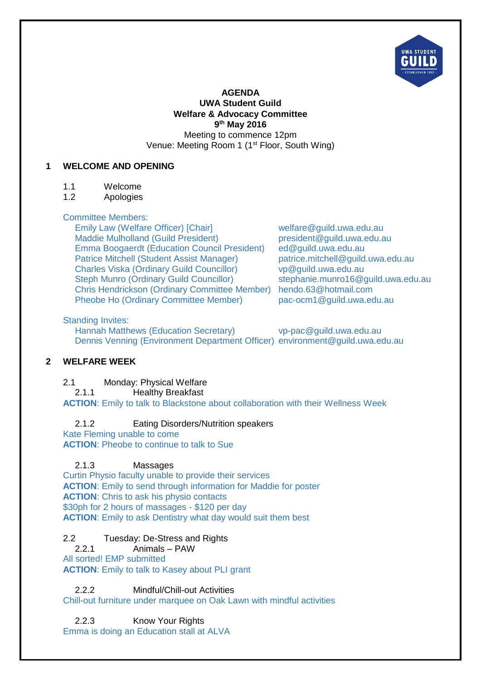

#### **AGENDA UWA Student Guild Welfare & Advocacy Committee 9 th May 2016** Meeting to commence 12pm Venue: Meeting Room 1 (1<sup>st</sup> Floor, South Wing)

### **1 WELCOME AND OPENING**

- 1.1 Welcome
- 1.2 Apologies

### Committee Members:

Emily Law (Welfare Officer) [Chair] welfare@guild.uwa.edu.au<br>Maddie Mulholland (Guild President) entitled approximation of president@guild.uwa.edu.au Maddie Mulholland (Guild President) president@guild.uwa.org/<br>Emma Boogaerdt (Education Council President) ed@guild.uwa.edu.au Emma Boogaerdt (Education Council President) Patrice Mitchell (Student Assist Manager) patrice.mitchell@guild.uwa.edu.au Charles Viska (Ordinary Guild Councillor) vp@guild.uwa.edu.au<br>Steph Munro (Ordinary Guild Councillor) stephanie.munro16@quild.uwa.edu.au Steph Munro (Ordinary Guild Councillor) Chris Hendrickson (Ordinary Committee Member) hendo.63@hotmail.com Pheobe Ho (Ordinary Committee Member) pac-ocm1@quild.uwa.edu.au

### Standing Invites:

Hannah Matthews (Education Secretary) vp-pac@quild.uwa.edu.au Dennis Venning (Environment Department Officer) environment@guild.uwa.edu.au

## **2 WELFARE WEEK**

## 2.1 Monday: Physical Welfare

2.1.1 Healthy Breakfast

**ACTION**: Emily to talk to Blackstone about collaboration with their Wellness Week

## 2.1.2 Eating Disorders/Nutrition speakers

Kate Fleming unable to come **ACTION**: Pheobe to continue to talk to Sue

## 2.1.3 Massages

Curtin Physio faculty unable to provide their services **ACTION**: Emily to send through information for Maddie for poster **ACTION**: Chris to ask his physio contacts \$30ph for 2 hours of massages - \$120 per day **ACTION**: Emily to ask Dentistry what day would suit them best

## 2.2 Tuesday: De-Stress and Rights

2.2.1 Animals – PAW

All sorted! EMP submitted

**ACTION**: Emily to talk to Kasey about PLI grant

2.2.2 Mindful/Chill-out Activities

Chill-out furniture under marquee on Oak Lawn with mindful activities

2.2.3 Know Your Rights

Emma is doing an Education stall at ALVA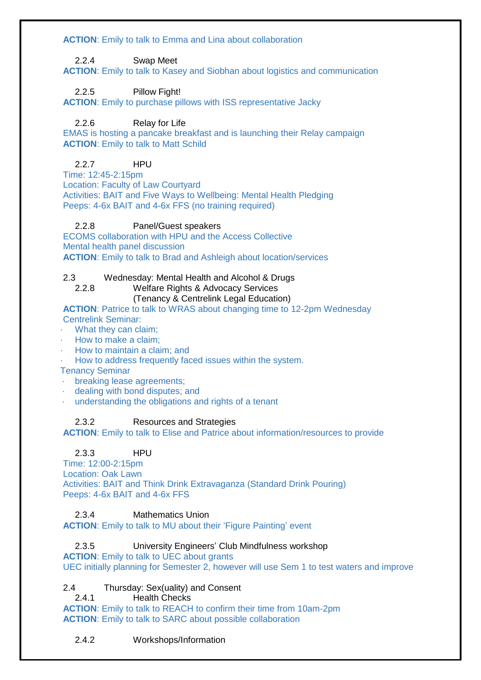**ACTION**: Emily to talk to Emma and Lina about collaboration

### 2.2.4 Swap Meet

**ACTION**: Emily to talk to Kasey and Siobhan about logistics and communication

2.2.5 Pillow Fight!

**ACTION**: Emily to purchase pillows with ISS representative Jacky

## 2.2.6 Relay for Life

EMAS is hosting a pancake breakfast and is launching their Relay campaign **ACTION:** Emily to talk to Matt Schild

# 2.2.7 HPU

Time: 12:45-2:15pm Location: Faculty of Law Courtyard Activities: BAIT and Five Ways to Wellbeing: Mental Health Pledging Peeps: 4-6x BAIT and 4-6x FFS (no training required)

### 2.2.8 Panel/Guest speakers

ECOMS collaboration with HPU and the Access Collective Mental health panel discussion **ACTION**: Emily to talk to Brad and Ashleigh about location/services

### 2.3 Wednesday: Mental Health and Alcohol & Drugs

#### 2.2.8 Welfare Rights & Advocacy Services (Tenancy & Centrelink Legal Education)

#### **ACTION**: Patrice to talk to WRAS about changing time to 12-2pm Wednesday Centrelink Seminar:

- What they can claim;
- · How to make a claim;
- · How to maintain a claim; and
- · How to address frequently faced issues within the system.
- Tenancy Seminar
- · breaking lease agreements;
- dealing with bond disputes; and
- · understanding the obligations and rights of a tenant

## 2.3.2 Resources and Strategies

**ACTION**: Emily to talk to Elise and Patrice about information/resources to provide

## 2.3.3 HPU

Time: 12:00-2:15pm Location: Oak Lawn Activities: BAIT and Think Drink Extravaganza (Standard Drink Pouring) Peeps: 4-6x BAIT and 4-6x FFS

#### 2.3.4 Mathematics Union

**ACTION**: Emily to talk to MU about their 'Figure Painting' event

#### 2.3.5 University Engineers' Club Mindfulness workshop

**ACTION**: Emily to talk to UEC about grants UEC initially planning for Semester 2, however will use Sem 1 to test waters and improve

## 2.4 Thursday: Sex(uality) and Consent

2.4.1 Health Checks

**ACTION**: Emily to talk to REACH to confirm their time from 10am-2pm **ACTION**: Emily to talk to SARC about possible collaboration

## 2.4.2 Workshops/Information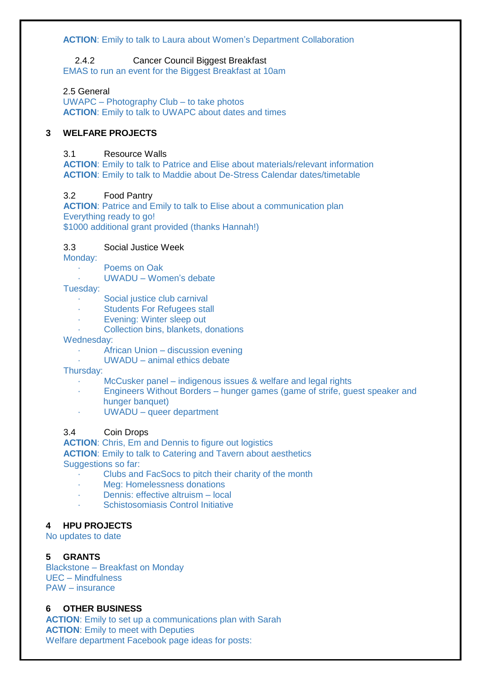#### **ACTION**: Emily to talk to Laura about Women's Department Collaboration

## 2.4.2 Cancer Council Biggest Breakfast

EMAS to run an event for the Biggest Breakfast at 10am

#### 2.5 General

UWAPC – Photography Club – to take photos **ACTION**: Emily to talk to UWAPC about dates and times

## **3 WELFARE PROJECTS**

#### 3.1 Resource Walls

**ACTION**: Emily to talk to Patrice and Elise about materials/relevant information **ACTION**: Emily to talk to Maddie about De-Stress Calendar dates/timetable

#### 3.2 Food Pantry

**ACTION**: Patrice and Emily to talk to Elise about a communication plan Everything ready to go! \$1000 additional grant provided (thanks Hannah!)

### 3.3 Social Justice Week

Monday:

- · Poems on Oak
- UWADU Women's debate

#### Tuesday:

- Social justice club carnival
- · Students For Refugees stall
- Evening: Winter sleep out
- Collection bins, blankets, donations

#### Wednesday:

- · African Union discussion evening
- · UWADU animal ethics debate

#### Thursday:

- McCusker panel indigenous issues & welfare and legal rights
- · Engineers Without Borders hunger games (game of strife, guest speaker and hunger banquet)
- · UWADU queer department

#### 3.4 Coin Drops

**ACTION**: Chris, Em and Dennis to figure out logistics **ACTION**: Emily to talk to Catering and Tavern about aesthetics Suggestions so far:

- · Clubs and FacSocs to pitch their charity of the month
- · Meg: Homelessness donations
- Dennis: effective altruism local
- Schistosomiasis Control Initiative

#### **4 HPU PROJECTS**

No updates to date

#### **5 GRANTS**

Blackstone – Breakfast on Monday UEC – Mindfulness PAW – insurance

#### **6 OTHER BUSINESS**

**ACTION**: Emily to set up a communications plan with Sarah **ACTION**: Emily to meet with Deputies Welfare department Facebook page ideas for posts: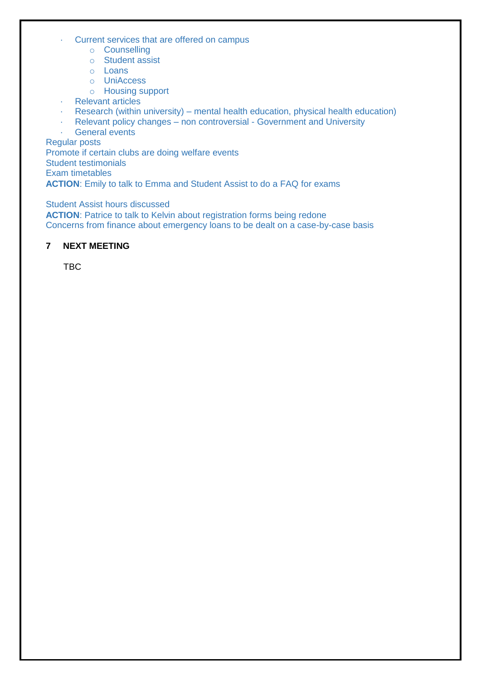- · Current services that are offered on campus
	- o Counselling
	- o Student assist
	- o Loans
	- o UniAccess
	- o Housing support
- · Relevant articles
- Research (within university) mental health education, physical health education)<br>• Relevant policy changes non controversial Government and University
- Relevant policy changes non controversial Government and University
- · General events

Regular posts

Promote if certain clubs are doing welfare events

Student testimonials

Exam timetables

**ACTION**: Emily to talk to Emma and Student Assist to do a FAQ for exams

Student Assist hours discussed

**ACTION:** Patrice to talk to Kelvin about registration forms being redone Concerns from finance about emergency loans to be dealt on a case-by-case basis

## **7 NEXT MEETING**

**TBC**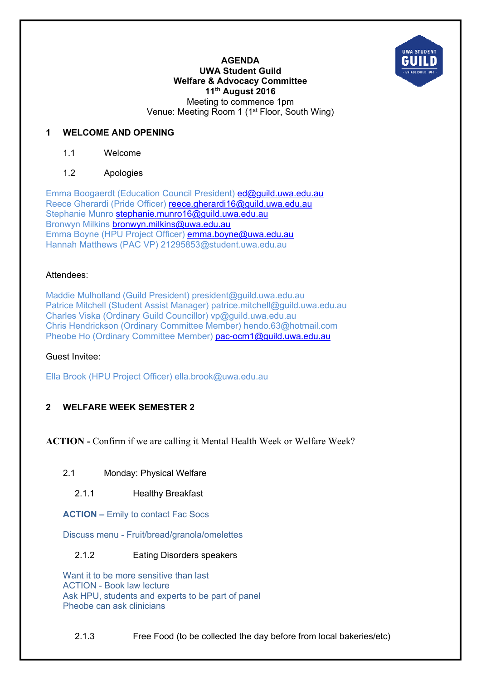

#### **AGENDA UWA Student Guild Welfare & Advocacy Committee 11th August 2016**  Meeting to commence 1pm Venue: Meeting Room 1 (1st Floor, South Wing)

### **1 WELCOME AND OPENING**

1.1 Welcome

### 1.2 Apologies

Emma Boogaerdt (Education Council President) ed@guild.uwa.edu.au Reece Gherardi (Pride Officer) reece.gherardi16@guild.uwa.edu.au Stephanie Munro stephanie.munro16@guild.uwa.edu.au Bronwyn Milkins bronwyn.milkins@uwa.edu.au Emma Boyne (HPU Project Officer) emma.boyne@uwa.edu.au Hannah Matthews (PAC VP) 21295853@student.uwa.edu.au

#### Attendees:

Maddie Mulholland (Guild President) president@guild.uwa.edu.au Patrice Mitchell (Student Assist Manager) patrice.mitchell@guild.uwa.edu.au Charles Viska (Ordinary Guild Councillor) vp@guild.uwa.edu.au Chris Hendrickson (Ordinary Committee Member) hendo.63@hotmail.com Pheobe Ho (Ordinary Committee Member) pac-ocm1@guild.uwa.edu.au

#### Guest Invitee:

Ella Brook (HPU Project Officer) ella.brook@uwa.edu.au

## **2 WELFARE WEEK SEMESTER 2**

**ACTION -** Confirm if we are calling it Mental Health Week or Welfare Week?

- 2.1 Monday: Physical Welfare
	- 2.1.1 Healthy Breakfast

**ACTION –** Emily to contact Fac Socs

Discuss menu - Fruit/bread/granola/omelettes

2.1.2 Eating Disorders speakers

Want it to be more sensitive than last ACTION - Book law lecture Ask HPU, students and experts to be part of panel Pheobe can ask clinicians

2.1.3 Free Food (to be collected the day before from local bakeries/etc)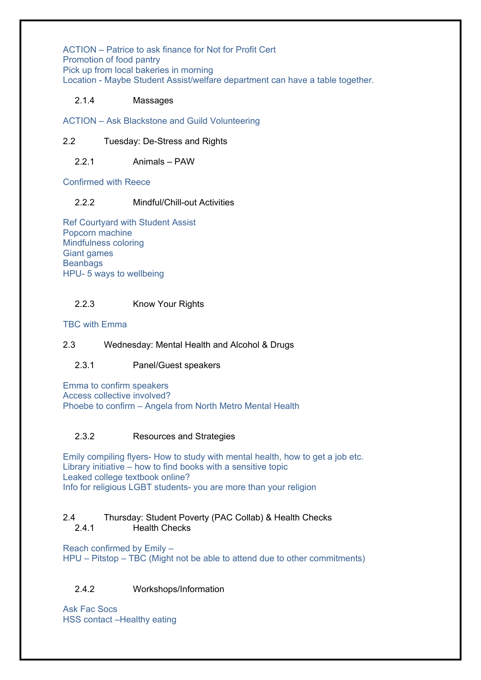ACTION – Patrice to ask finance for Not for Profit Cert Promotion of food pantry Pick up from local bakeries in morning Location - Maybe Student Assist/welfare department can have a table together.

## 2.1.4 Massages

ACTION – Ask Blackstone and Guild Volunteering

### 2.2 Tuesday: De-Stress and Rights

### 2.2.1 Animals – PAW

Confirmed with Reece

### 2.2.2 Mindful/Chill-out Activities

Ref Courtyard with Student Assist Popcorn machine Mindfulness coloring Giant games **Beanbags** HPU- 5 ways to wellbeing

## 2.2.3 Know Your Rights

TBC with Emma

#### 2.3 Wednesday: Mental Health and Alcohol & Drugs

## 2.3.1 Panel/Guest speakers

Emma to confirm speakers Access collective involved? Phoebe to confirm – Angela from North Metro Mental Health

#### 2.3.2 Resources and Strategies

Emily compiling flyers- How to study with mental health, how to get a job etc. Library initiative – how to find books with a sensitive topic Leaked college textbook online? Info for religious LGBT students- you are more than your religion

#### 2.4 Thursday: Student Poverty (PAC Collab) & Health Checks 2.4.1 Health Checks

Reach confirmed by Emily – HPU – Pitstop – TBC (Might not be able to attend due to other commitments)

## 2.4.2 Workshops/Information

Ask Fac Socs HSS contact –Healthy eating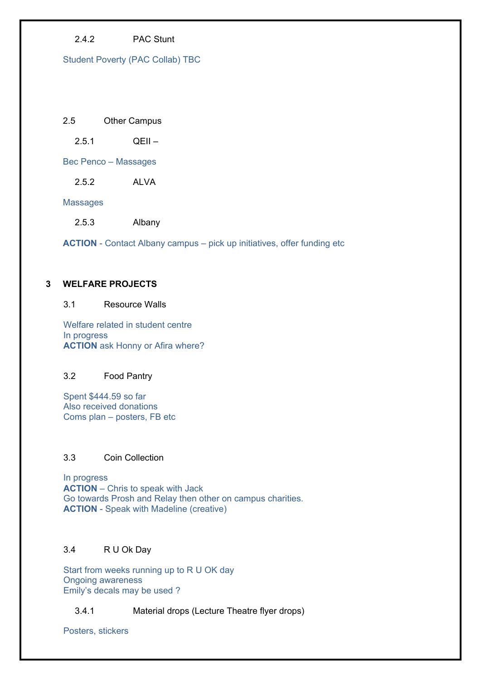## 2.4.2 PAC Stunt

Student Poverty (PAC Collab) TBC

### 2.5 Other Campus

 $2.5.1$  OFII –

Bec Penco – Massages

2.5.2 ALVA

Massages

2.5.3 Albany

**ACTION** - Contact Albany campus – pick up initiatives, offer funding etc

## **3 WELFARE PROJECTS**

#### 3.1 Resource Walls

Welfare related in student centre In progress **ACTION** ask Honny or Afira where?

## 3.2 Food Pantry

Spent \$444.59 so far Also received donations Coms plan – posters, FB etc

### 3.3 Coin Collection

In progress **ACTION** – Chris to speak with Jack Go towards Prosh and Relay then other on campus charities. **ACTION** - Speak with Madeline (creative)

#### 3.4 R U Ok Day

Start from weeks running up to R U OK day Ongoing awareness Emily's decals may be used ?

3.4.1 Material drops (Lecture Theatre flyer drops)

Posters, stickers